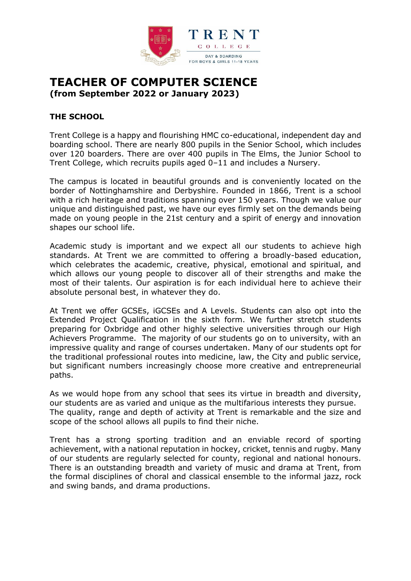

# **TEACHER OF COMPUTER SCIENCE (from September 2022 or January 2023)**

## **THE SCHOOL**

Trent College is a happy and flourishing HMC co-educational, independent day and boarding school. There are nearly 800 pupils in the Senior School, which includes over 120 boarders. There are over 400 pupils in The Elms, the Junior School to Trent College, which recruits pupils aged 0–11 and includes a Nursery.

The campus is located in beautiful grounds and is conveniently located on the border of Nottinghamshire and Derbyshire. Founded in 1866, Trent is a school with a rich heritage and traditions spanning over 150 years. Though we value our unique and distinguished past, we have our eyes firmly set on the demands being made on young people in the 21st century and a spirit of energy and innovation shapes our school life.

Academic study is important and we expect all our students to achieve high standards. At Trent we are committed to offering a broadly-based education, which celebrates the academic, creative, physical, emotional and spiritual, and which allows our young people to discover all of their strengths and make the most of their talents. Our aspiration is for each individual here to achieve their absolute personal best, in whatever they do.

At Trent we offer GCSEs, iGCSEs and A Levels. Students can also opt into the Extended Project Qualification in the sixth form. We further stretch students preparing for Oxbridge and other highly selective universities through our High Achievers Programme. The majority of our students go on to university, with an impressive quality and range of courses undertaken. Many of our students opt for the traditional professional routes into medicine, law, the City and public service, but significant numbers increasingly choose more creative and entrepreneurial paths.

As we would hope from any school that sees its virtue in breadth and diversity, our students are as varied and unique as the multifarious interests they pursue. The quality, range and depth of activity at Trent is remarkable and the size and scope of the school allows all pupils to find their niche.

Trent has a strong sporting tradition and an enviable record of sporting achievement, with a national reputation in hockey, cricket, tennis and rugby. Many of our students are regularly selected for county, regional and national honours. There is an outstanding breadth and variety of music and drama at Trent, from the formal disciplines of choral and classical ensemble to the informal jazz, rock and swing bands, and drama productions.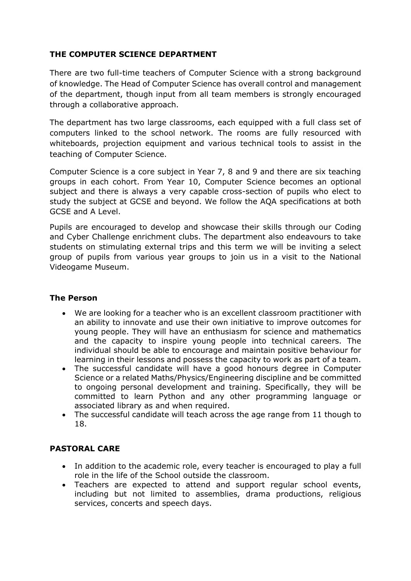## **THE COMPUTER SCIENCE DEPARTMENT**

There are two full-time teachers of Computer Science with a strong background of knowledge. The Head of Computer Science has overall control and management of the department, though input from all team members is strongly encouraged through a collaborative approach.

The department has two large classrooms, each equipped with a full class set of computers linked to the school network. The rooms are fully resourced with whiteboards, projection equipment and various technical tools to assist in the teaching of Computer Science.

Computer Science is a core subject in Year 7, 8 and 9 and there are six teaching groups in each cohort. From Year 10, Computer Science becomes an optional subject and there is always a very capable cross-section of pupils who elect to study the subject at GCSE and beyond. We follow the AQA specifications at both GCSE and A Level.

Pupils are encouraged to develop and showcase their skills through our Coding and Cyber Challenge enrichment clubs. The department also endeavours to take students on stimulating external trips and this term we will be inviting a select group of pupils from various year groups to join us in a visit to the National Videogame Museum.

#### **The Person**

- We are looking for a teacher who is an excellent classroom practitioner with an ability to innovate and use their own initiative to improve outcomes for young people. They will have an enthusiasm for science and mathematics and the capacity to inspire young people into technical careers. The individual should be able to encourage and maintain positive behaviour for learning in their lessons and possess the capacity to work as part of a team.
- The successful candidate will have a good honours degree in Computer Science or a related Maths/Physics/Engineering discipline and be committed to ongoing personal development and training. Specifically, they will be committed to learn Python and any other programming language or associated library as and when required.
- The successful candidate will teach across the age range from 11 though to 18.

#### **PASTORAL CARE**

- In addition to the academic role, every teacher is encouraged to play a full role in the life of the School outside the classroom.
- Teachers are expected to attend and support regular school events, including but not limited to assemblies, drama productions, religious services, concerts and speech days.